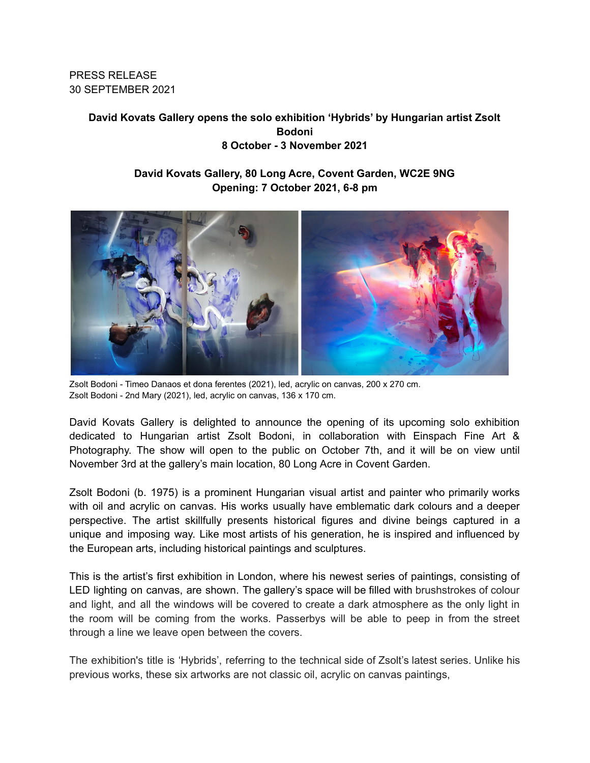**PRESS RELEASE** 30 SEPTEMBER 2021

# David Kovats Gallery opens the solo exhibition 'Hybrids' by Hungarian artist Zsolt **Bodoni** 8 October - 3 November 2021

# David Kovats Gallery, 80 Long Acre, Covent Garden, WC2E 9NG Opening: 7 October 2021, 6-8 pm



Zsolt Bodoni - Timeo Danaos et dona ferentes (2021), led, acrylic on canvas, 200 x 270 cm. Zsolt Bodoni - 2nd Mary (2021), led, acrylic on canvas, 136 x 170 cm.

David Kovats Gallery is delighted to announce the opening of its upcoming solo exhibition dedicated to Hungarian artist Zsolt Bodoni, in collaboration with Einspach Fine Art & Photography. The show will open to the public on October 7th, and it will be on view until November 3rd at the gallery's main location, 80 Long Acre in Covent Garden.

Zsolt Bodoni (b. 1975) is a prominent Hungarian visual artist and painter who primarily works with oil and acrylic on canvas. His works usually have emblematic dark colours and a deeper perspective. The artist skillfully presents historical figures and divine beings captured in a unique and imposing way. Like most artists of his generation, he is inspired and influenced by the European arts, including historical paintings and sculptures.

This is the artist's first exhibition in London, where his newest series of paintings, consisting of LED lighting on canvas, are shown. The gallery's space will be filled with brushstrokes of colour and light, and all the windows will be covered to create a dark atmosphere as the only light in the room will be coming from the works. Passerbys will be able to peep in from the street through a line we leave open between the covers.

The exhibition's title is 'Hybrids', referring to the technical side of Zsolt's latest series. Unlike his previous works, these six artworks are not classic oil, acrylic on canvas paintings,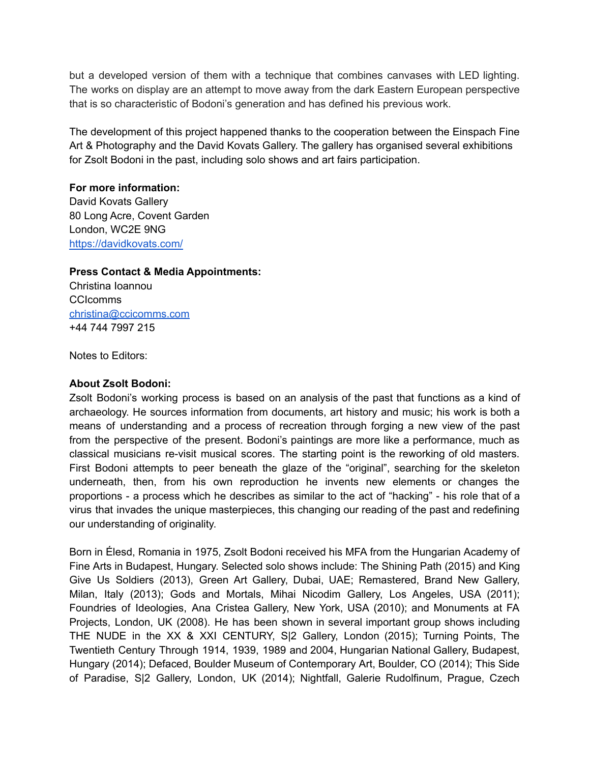but a developed version of them with a technique that combines canvases with LED lighting. The works on display are an attempt to move away from the dark Eastern European perspective that is so characteristic of Bodoni's generation and has defined his previous work.

The development of this project happened thanks to the cooperation between the Einspach Fine Art & Photography and the David Kovats Gallery. The gallery has organised several exhibitions for Zsolt Bodoni in the past, including solo shows and art fairs participation.

### For more information:

David Kovats Gallery 80 Long Acre, Covent Garden London, WC2E 9NG https://davidkovats.com/

## **Press Contact & Media Appointments:**

Christina Ioannou **CCIcomms** christina@ccicomms.com +44 744 7997 215

Notes to Editors:

### **About Zsolt Bodoni:**

Zsolt Bodoni's working process is based on an analysis of the past that functions as a kind of archaeology. He sources information from documents, art history and music; his work is both a means of understanding and a process of recreation through forging a new view of the past from the perspective of the present. Bodoni's paintings are more like a performance, much as classical musicians re-visit musical scores. The starting point is the reworking of old masters. First Bodoni attempts to peer beneath the glaze of the "original", searching for the skeleton underneath, then, from his own reproduction he invents new elements or changes the proportions - a process which he describes as similar to the act of "hacking" - his role that of a virus that invades the unique masterpieces, this changing our reading of the past and redefining our understanding of originality.

Born in Élesd, Romania in 1975, Zsolt Bodoni received his MFA from the Hungarian Academy of Fine Arts in Budapest, Hungary. Selected solo shows include: The Shining Path (2015) and King Give Us Soldiers (2013), Green Art Gallery, Dubai, UAE; Remastered, Brand New Gallery, Milan, Italy (2013); Gods and Mortals, Mihai Nicodim Gallery, Los Angeles, USA (2011); Foundries of Ideologies, Ana Cristea Gallery, New York, USA (2010); and Monuments at FA Projects, London, UK (2008). He has been shown in several important group shows including THE NUDE in the XX & XXI CENTURY, S|2 Gallery, London (2015); Turning Points, The Twentieth Century Through 1914, 1939, 1989 and 2004, Hungarian National Gallery, Budapest, Hungary (2014); Defaced, Boulder Museum of Contemporary Art, Boulder, CO (2014); This Side of Paradise, S|2 Gallery, London, UK (2014); Nightfall, Galerie Rudolfinum, Prague, Czech